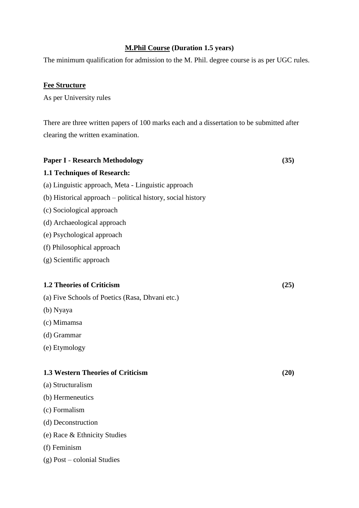# **M.Phil Course (Duration 1.5 years)**

The minimum qualification for admission to the M. Phil. degree course is as per UGC rules.

# **Fee Structure**

As per University rules

There are three written papers of 100 marks each and a dissertation to be submitted after clearing the written examination.

# **Paper I - Research Methodology (35) 1.1 Techniques of Research:** (a) Linguistic approach, Meta - Linguistic approach (b) Historical approach – political history, social history (c) Sociological approach (d) Archaeological approach (e) Psychological approach (f) Philosophical approach (g) Scientific approach **1.2 Theories of Criticism (25)** (a) Five Schools of Poetics (Rasa, Dhvani etc.) (b) Nyaya (c) Mimamsa (d) Grammar (e) Etymology **1.3 Western Theories of Criticism (20)** (a) Structuralism (b) Hermeneutics (c) Formalism (d) Deconstruction (e) Race & Ethnicity Studies (f) Feminism

# (g) Post – colonial Studies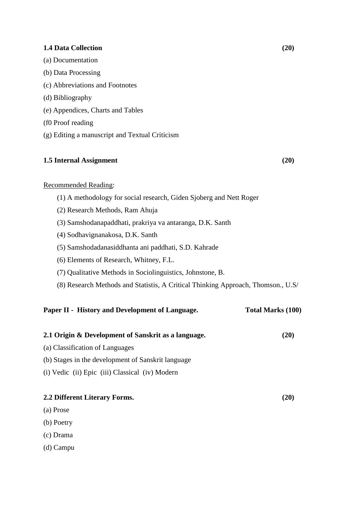#### **1.4 Data Collection (20)**

- (a) Documentation
- (b) Data Processing
- (c) Abbreviations and Footnotes
- (d) Bibliography
- (e) Appendices, Charts and Tables
- (f0 Proof reading
- (g) Editing a manuscript and Textual Criticism

# **1.5 Internal Assignment (20)**

#### Recommended Reading:

- (1) A methodology for social research, Giden Sjoberg and Nett Roger
- (2) Research Methods, Ram Ahuja
- (3) Samshodanapaddhati, prakriya va antaranga, D.K. Santh
- (4) Sodhavignanakosa, D.K. Santh
- (5) Samshodadanasiddhanta ani paddhati, S.D. Kahrade
- (6) Elements of Research, Whitney, F.L.
- (7) Qualitative Methods in Sociolinguistics, Johnstone, B.
- (8) Research Methods and Statistis, A Critical Thinking Approach, Thomson., U.S/

#### Paper II **- History and Development of Language.** Total Marks (100)

| 2.1 Origin & Development of Sanskrit as a language. | (20) |
|-----------------------------------------------------|------|
| (a) Classification of Languages                     |      |
| (b) Stages in the development of Sanskrit language  |      |
| (i) Vedic (ii) Epic (iii) Classical (iv) Modern     |      |
|                                                     |      |
| 2.2 Different Literary Forms.                       | (20) |

- (a) Prose
- (b) Poetry
- (c) Drama
- (d) Campu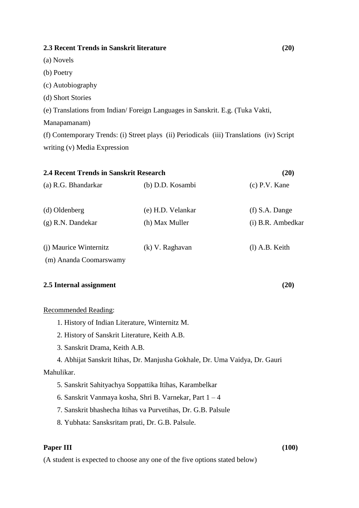# **2.3 Recent Trends in Sanskrit literature (20)**

(a) Novels

- (b) Poetry
- (c) Autobiography
- (d) Short Stories

(e) Translations from Indian/ Foreign Languages in Sanskrit. E.g. (Tuka Vakti,

Manapamanam)

(f) Contemporary Trends: (i) Street plays (ii) Periodicals (iii) Translations (iv) Script writing (v) Media Expression

| 2.4 Recent Trends in Sanskrit Research           |                   | (20)              |
|--------------------------------------------------|-------------------|-------------------|
| (a) R.G. Bhandarkar                              | (b) D.D. Kosambi  | $(c)$ P.V. Kane   |
| (d) Oldenberg                                    | (e) H.D. Velankar | $(f)$ S.A. Dange  |
| $(g)$ R.N. Dandekar                              | (h) Max Muller    | (i) B.R. Ambedkar |
| (i) Maurice Winternitz<br>(m) Ananda Coomarswamy | (k) V. Raghavan   | $(l)$ A.B. Keith  |

#### **2.5 Internal assignment (20)**

#### Recommended Reading:

- 1. History of Indian Literature, Winternitz M.
- 2. History of Sanskrit Literature, Keith A.B.
- 3. Sanskrit Drama, Keith A.B.
- 4. Abhijat Sanskrit Itihas, Dr. Manjusha Gokhale, Dr. Uma Vaidya, Dr. Gauri

### Mahulikar.

- 5. Sanskrit Sahityachya Soppattika Itihas, Karambelkar
- 6. Sanskrit Vanmaya kosha, Shri B. Varnekar, Part 1 4
- 7. Sanskrit bhashecha Itihas va Purvetihas, Dr. G.B. Palsule
- 8. Yubhata: Sansksritam prati, Dr. G.B. Palsule.

# **Paper III** (100)

(A student is expected to choose any one of the five options stated below)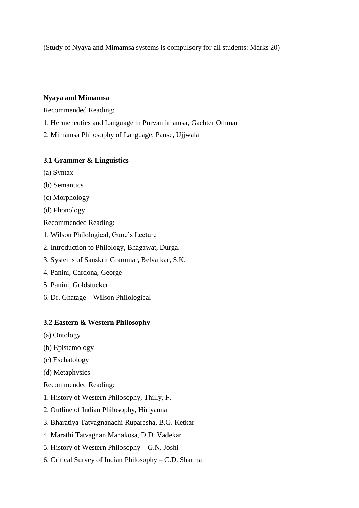(Study of Nyaya and Mimamsa systems is compulsory for all students: Marks 20)

# **Nyaya and Mimamsa**

Recommended Reading:

- 1. Hermeneutics and Language in Purvamimamsa, Gachter Othmar
- 2. Mimamsa Philosophy of Language, Panse, Ujjwala

# **3.1 Grammer & Linguistics**

- (a) Syntax
- (b) Semantics
- (c) Morphology
- (d) Phonology

Recommended Reading:

- 1. Wilson Philological, Gune's Lecture
- 2. Introduction to Philology, Bhagawat, Durga.
- 3. Systems of Sanskrit Grammar, Belvalkar, S.K.
- 4. Panini, Cardona, George
- 5. Panini, Goldstucker
- 6. Dr. Ghatage Wilson Philological

# **3.2 Eastern & Western Philosophy**

- (a) Ontology
- (b) Epistemology
- (c) Eschatology
- (d) Metaphysics

## Recommended Reading:

- 1. History of Western Philosophy, Thilly, F.
- 2. Outline of Indian Philosophy, Hiriyanna
- 3. Bharatiya Tatvagnanachi Ruparesha, B.G. Ketkar
- 4. Marathi Tatvagnan Mahakosa, D.D. Vadekar
- 5. History of Western Philosophy G.N. Joshi
- 6. Critical Survey of Indian Philosophy C.D. Sharma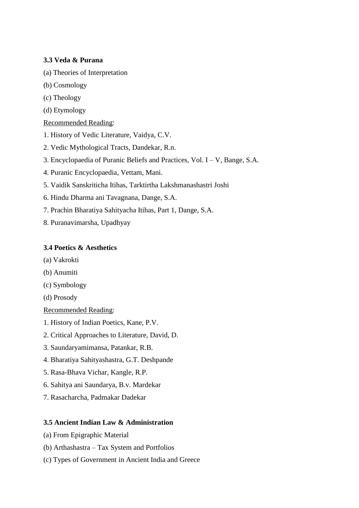# **3.3 Veda & Purana**

- (a) Theories of Interpretation
- (b) Cosmology
- (c) Theology
- (d) Etymology

# Recommended Reading:

- 1. History of Vedic Literature, Vaidya, C.V.
- 2. Vedic Mythological Tracts, Dandekar, R.n.
- 3. Encyclopaedia of Puranic Beliefs and Practices, Vol. I V, Bange, S.A.
- 4. Puranic Encyclopaedia, Vettam, Mani.
- 5. Vaidik Sanskriticha Itihas, Tarktirtha Lakshmanashastri Joshi
- 6. Hindu Dharma ani Tavagnana, Dange, S.A.
- 7. Prachin Bharatiya Sahityacha Itihas, Part 1, Dange, S.A.
- 8. Puranavimarsha, Upadhyay

# **3.4 Poetics & Aesthetics**

- (a) Vakrokti
- (b) Anumiti
- (c) Symbology
- (d) Prosody

Recommended Reading:

- 1. History of Indian Poetics, Kane, P.V.
- 2. Critical Approaches to Literature, David, D.
- 3. Saundaryamimansa, Patankar, R.B.
- 4. Bharatiya Sahityashastra, G.T. Deshpande
- 5. Rasa-Bhava Vichar, Kangle, R.P.
- 6. Sahitya ani Saundarya, B.v. Mardekar
- 7. Rasacharcha, Padmakar Dadekar

## **3.5 Ancient Indian Law & Administration**

- (a) From Epigraphic Material
- (b) Arthashastra Tax System and Portfolios
- (c) Types of Government in Ancient India and Greece